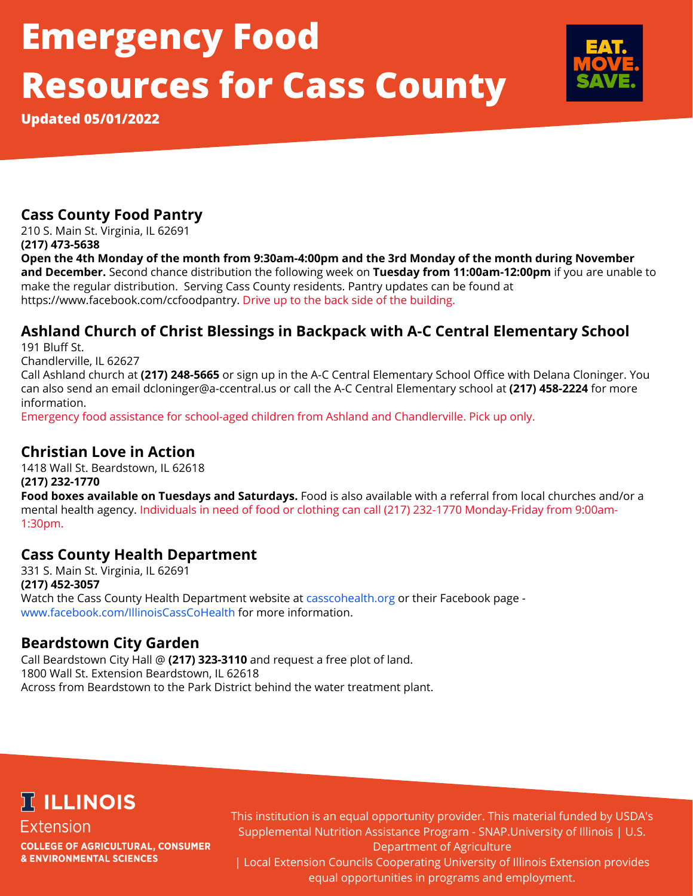# **Emergency Food Resources for Cass County**

**Updated 05/01/2022**

# **Cass County Food Pantry**

210 S. Main St. Virginia, IL 62691 **(217) 473-5638**

Open the 4th Monday of the month from 9:30am-4:00pm and the 3rd Monday of the month during November **and December.** Second chance distribution the following week on **Tuesday from 11:00am-12:00pm** if you are unable to make the regular distribution. Serving Cass County residents. Pantry updates can be found at https://www.facebook.com/ccfoodpantry. Drive up to the back side of the building.

# **Ashland Church of Christ Blessings in Backpack with A-C Central Elementary School**

191 Bluff St.

Chandlerville, IL 62627

Call Ashland church at **(217) 248-5665** or sign up in the A-C Central Elementary School Office with Delana Cloninger. You can also send an email dcloninger@a-ccentral.us or call the A-C Central Elementary school at **(217) 458-2224** for more information.

Emergency food assistance for school-aged children from Ashland and Chandlerville. Pick up only.

### **Christian Love in Action**

1418 Wall St. Beardstown, IL 62618 **(217) 232-1770 Food boxes available on Tuesdays and Saturdays.** Food is also available with a referral from local churches and/or a mental health agency. Individuals in need of food or clothing can call (217) 232-1770 Monday-Friday from 9:00am-1:30pm.

### **Cass County Health Department**

331 S. Main St. Virginia, IL 62691 **(217) 452-3057** Watch the Cass County Health Department website at casscohealth.org or their Facebook page www.facebook.com/IllinoisCassCoHealth for more information.

### **Beardstown City Garden**

Call Beardstown City Hall @ **(217) 323-3110** and request a free plot of land. 1800 Wall St. Extension Beardstown, IL 62618 Across from Beardstown to the Park District behind the water treatment plant.

# **冗 ILLINOIS**

**Extension COLLEGE OF AGRICULTURAL, CONSUMER & ENVIRONMENTAL SCIENCES** 

This institution is an equal opportunity provider. This material funded by USDA's Supplemental Nutrition Assistance Program - SNAP.University of Illinois | U.S. Department of Agriculture

| Local Extension Councils Cooperating University of Illinois Extension provides equal opportunities in programs and employment.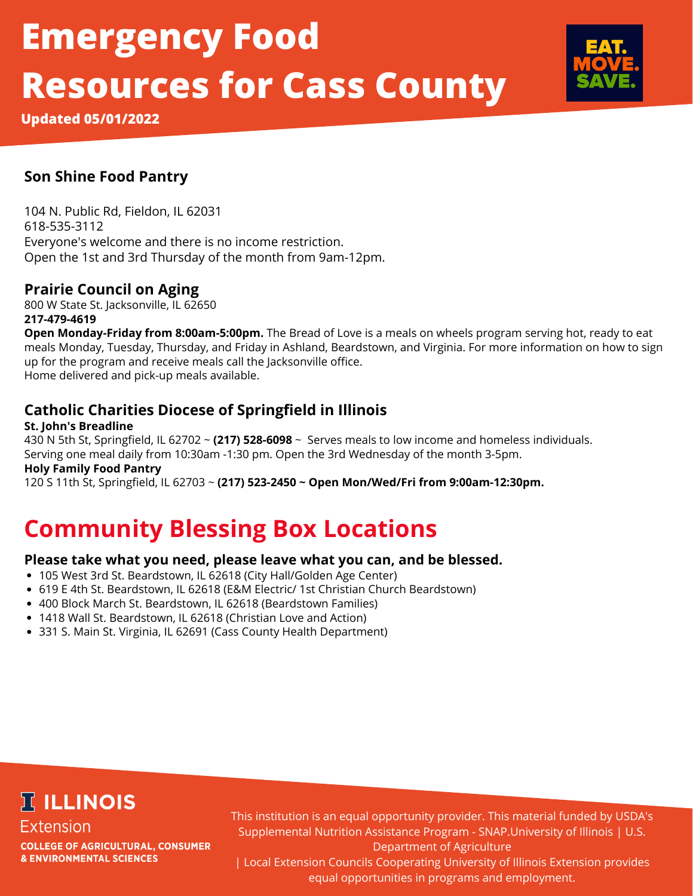# **Emergency Food Resources for Cass County**



**Updated 05/01/2022**

## **Son Shine Food Pantry**

104 N. Public Rd, Fieldon, IL 62031 618-535-3112 Everyone's welcome and there is no income restriction. Open the 1st and 3rd Thursday of the month from 9am-12pm.

# **Prairie Council on Aging**

800 W State St. Jacksonville, IL 62650 **217-479-4619**

**Open Monday-Friday from 8:00am-5:00pm.** The Bread of Love is a meals on wheels program serving hot, ready to eat meals Monday, Tuesday, Thursday, and Friday in Ashland, Beardstown, and Virginia. For more information on how to sign up for the program and receive meals call the Jacksonville office. Home delivered and pick-up meals available.

# **Catholic Charities Diocese of Springfield in Illinois**

#### **St. John's Breadline**

430 N 5th St, Springfield, IL 62702 ~ **(217) 528-6098** ~ Serves meals to low income and homeless individuals. Serving one meal daily from 10:30am -1:30 pm. Open the 3rd Wednesday of the month 3-5pm.

#### **Holy Family Food Pantry**

120 S 11th St, Springfield, IL 62703 ~ **(217) 523-2450 ~ Open Mon/Wed/Fri from 9:00am-12:30pm.**

# **Community Blessing Box Locations**

### **Please take what you need, please leave what you can, and be blessed.**

- 105 West 3rd St. Beardstown, IL 62618 (City Hall/Golden Age Center)
- 619 E 4th St. Beardstown, IL 62618 (E&M Electric/ 1st Christian Church Beardstown)
- 400 Block March St. Beardstown, IL 62618 (Beardstown Families)
- 1418 Wall St. Beardstown, IL 62618 (Christian Love and Action)
- 331 S. Main St. Virginia, IL 62691 (Cass County Health Department)

# **IT ILLINOIS**

**Extension COLLEGE OF AGRICULTURAL, CONSUMER & ENVIRONMENTAL SCIENCES** 

This institution is an equal opportunity provider. This material funded by USDA's Supplemental Nutrition Assistance Program - SNAP.University of Illinois | U.S. Department of Agriculture

| Local Extension Councils Cooperating University of Illinois Extension provides equal opportunities in programs and employment.